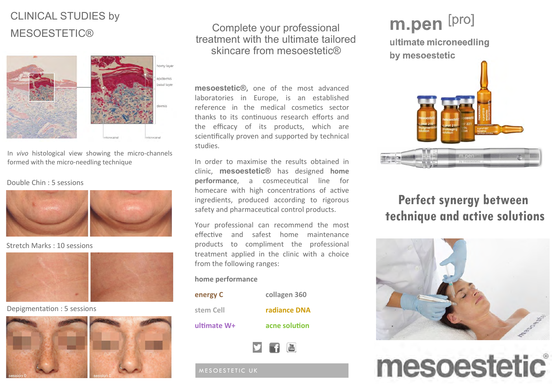## CLINICAL STUDIES by **MESOESTETIC®**



In *vivo* histological view showing the micro-channels formed with the micro-needling technique

#### Double Chin : 5 sessions



Stretch Marks : 10 sessions



Depigmentation : 5 sessions



## Complete your professional treatment with the ultimate tailored skincare from mesoestetic®

**mesoestetic®,** one of the most advanced laboratories in Europe, is an established reference in the medical cosmetics sector thanks to its continuous research efforts and the efficacy of its products, which are scientifically proven and supported by technical studies.

In order to maximise the results obtained in clinic, **mesoestetic®** has designed **home performance**, a cosmeceutical line for homecare with high concentrations of active ingredients, produced according to rigorous safety and pharmaceutical control products.

Your professional can recommend the most effective and safest home maintenance products to compliment the professional treatment applied in the clinic with a choice from the following ranges:

### **home performance**

| energy C    | collagen 360  |
|-------------|---------------|
| stem Cell   | radiance DNA  |
| ultimate W+ | acne solution |
|             |               |



MESOESTETIC UK

# m.pen [pro]

ultimate microneedling by mesoestetic



## **Perfect synergy between technique and active solutions**



mesoestetic